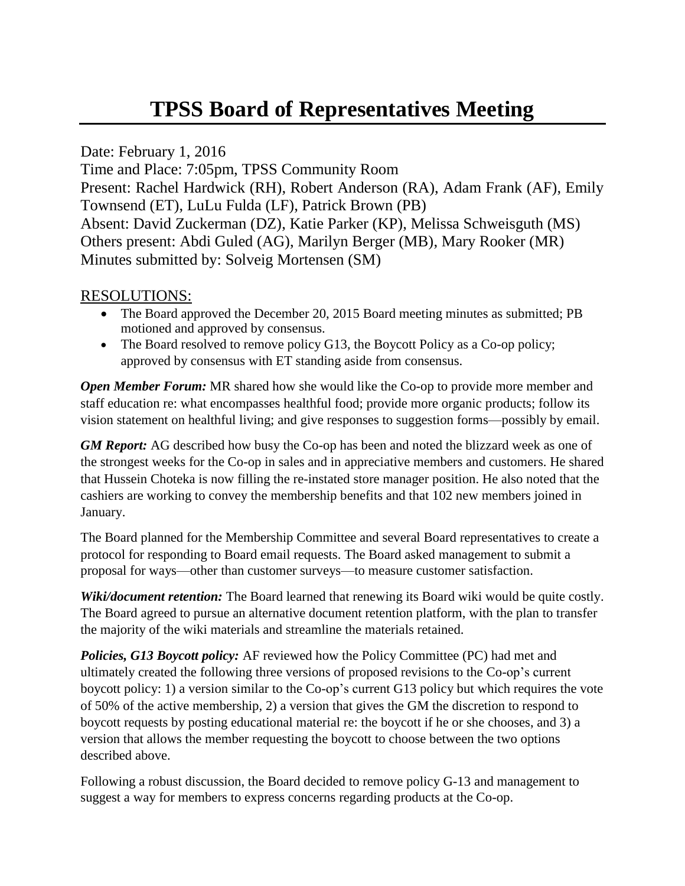## **TPSS Board of Representatives Meeting**

Date: February 1, 2016

Time and Place: 7:05pm, TPSS Community Room Present: Rachel Hardwick (RH), Robert Anderson (RA), Adam Frank (AF), Emily Townsend (ET), LuLu Fulda (LF), Patrick Brown (PB) Absent: David Zuckerman (DZ), Katie Parker (KP), Melissa Schweisguth (MS) Others present: Abdi Guled (AG), Marilyn Berger (MB), Mary Rooker (MR) Minutes submitted by: Solveig Mortensen (SM)

## RESOLUTIONS:

- The Board approved the December 20, 2015 Board meeting minutes as submitted; PB motioned and approved by consensus.
- The Board resolved to remove policy G13, the Boycott Policy as a Co-op policy; approved by consensus with ET standing aside from consensus.

*Open Member Forum:* MR shared how she would like the Co-op to provide more member and staff education re: what encompasses healthful food; provide more organic products; follow its vision statement on healthful living; and give responses to suggestion forms—possibly by email.

*GM Report:* AG described how busy the Co-op has been and noted the blizzard week as one of the strongest weeks for the Co-op in sales and in appreciative members and customers. He shared that Hussein Choteka is now filling the re-instated store manager position. He also noted that the cashiers are working to convey the membership benefits and that 102 new members joined in January.

The Board planned for the Membership Committee and several Board representatives to create a protocol for responding to Board email requests. The Board asked management to submit a proposal for ways—other than customer surveys—to measure customer satisfaction.

*Wiki/document retention:* The Board learned that renewing its Board wiki would be quite costly. The Board agreed to pursue an alternative document retention platform, with the plan to transfer the majority of the wiki materials and streamline the materials retained.

*Policies, G13 Boycott policy:* AF reviewed how the Policy Committee (PC) had met and ultimately created the following three versions of proposed revisions to the Co-op's current boycott policy: 1) a version similar to the Co-op's current G13 policy but which requires the vote of 50% of the active membership, 2) a version that gives the GM the discretion to respond to boycott requests by posting educational material re: the boycott if he or she chooses, and 3) a version that allows the member requesting the boycott to choose between the two options described above.

Following a robust discussion, the Board decided to remove policy G-13 and management to suggest a way for members to express concerns regarding products at the Co-op.